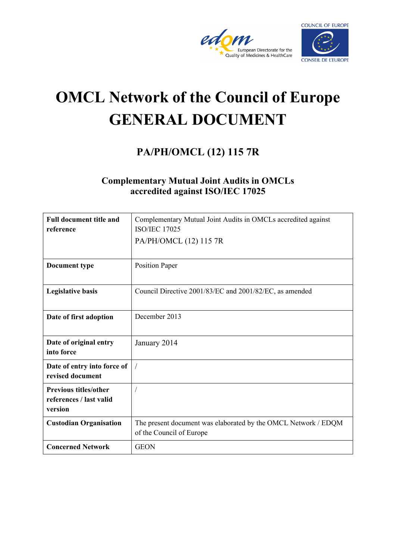



# **OMCL Network of the Council of Europe GENERAL DOCUMENT**

# **PA/PH/OMCL (12) 115 7R**

### **Complementary Mutual Joint Audits in OMCLs accredited against ISO/IEC 17025**

| <b>Full document title and</b><br>reference                        | Complementary Mutual Joint Audits in OMCLs accredited against<br><b>ISO/IEC 17025</b>      |
|--------------------------------------------------------------------|--------------------------------------------------------------------------------------------|
|                                                                    | PA/PH/OMCL (12) 115 7R                                                                     |
| Document type                                                      | <b>Position Paper</b>                                                                      |
| <b>Legislative basis</b>                                           | Council Directive 2001/83/EC and 2001/82/EC, as amended                                    |
| Date of first adoption                                             | December 2013                                                                              |
| Date of original entry<br>into force                               | January 2014                                                                               |
| Date of entry into force of<br>revised document                    | $\sqrt{2}$                                                                                 |
| <b>Previous titles/other</b><br>references / last valid<br>version |                                                                                            |
| <b>Custodian Organisation</b>                                      | The present document was elaborated by the OMCL Network / EDQM<br>of the Council of Europe |
| <b>Concerned Network</b>                                           | <b>GEON</b>                                                                                |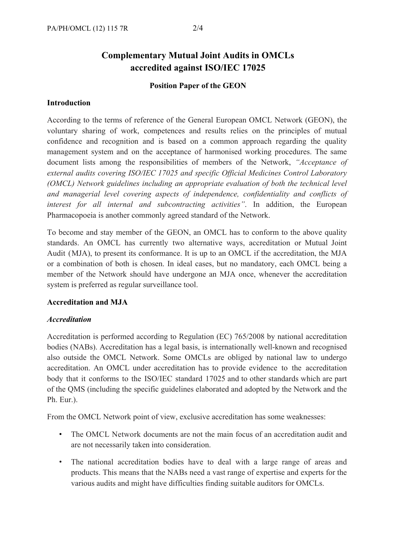## **Complementary Mutual Joint Audits in OMCLs accredited against ISO/IEC 17025**

#### **Position Paper of the GEON**

#### **Introduction**

According to the terms of reference of the General European OMCL Network (GEON), the voluntary sharing of work, competences and results relies on the principles of mutual confidence and recognition and is based on a common approach regarding the quality management system and on the acceptance of harmonised working procedures. The same document lists among the responsibilities of members of the Network, *"Acceptance of external audits covering ISO/IEC 17025 and specific Official Medicines Control Laboratory (OMCL) Network guidelines including an appropriate evaluation of both the technical level and managerial level covering aspects of independence, confidentiality and conflicts of interest for all internal and subcontracting activities"*. In addition, the European Pharmacopoeia is another commonly agreed standard of the Network.

To become and stay member of the GEON, an OMCL has to conform to the above quality standards. An OMCL has currently two alternative ways, accreditation or Mutual Joint Audit (MJA), to present its conformance. It is up to an OMCL if the accreditation, the MJA or a combination of both is chosen. In ideal cases, but no mandatory, each OMCL being a member of the Network should have undergone an MJA once, whenever the accreditation system is preferred as regular surveillance tool.

#### **Accreditation and MJA**

#### *Accreditation*

Accreditation is performed according to Regulation (EC) 765/2008 by national accreditation bodies (NABs). Accreditation has a legal basis, is internationally well-known and recognised also outside the OMCL Network. Some OMCLs are obliged by national law to undergo accreditation. An OMCL under accreditation has to provide evidence to the accreditation body that it conforms to the ISO/IEC standard 17025 and to other standards which are part of the QMS (including the specific guidelines elaborated and adopted by the Network and the Ph. Eur.).

From the OMCL Network point of view, exclusive accreditation has some weaknesses:

- The OMCL Network documents are not the main focus of an accreditation audit and are not necessarily taken into consideration.
- The national accreditation bodies have to deal with a large range of areas and products. This means that the NABs need a vast range of expertise and experts for the various audits and might have difficulties finding suitable auditors for OMCLs.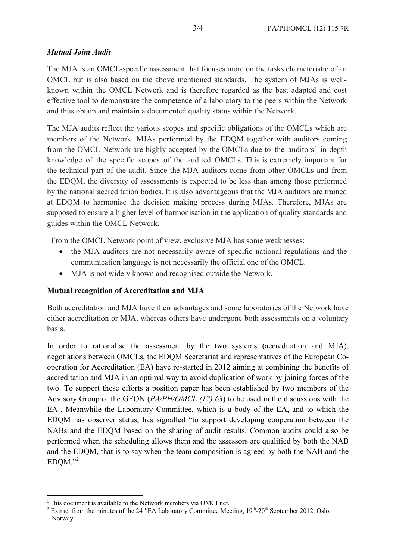#### *Mutual Joint Audit*

The MJA is an OMCL-specific assessment that focuses more on the tasks characteristic of an OMCL but is also based on the above mentioned standards. The system of MJAs is wellknown within the OMCL Network and is therefore regarded as the best adapted and cost effective tool to demonstrate the competence of a laboratory to the peers within the Network and thus obtain and maintain a documented quality status within the Network.

The MJA audits reflect the various scopes and specific obligations of the OMCLs which are members of the Network. MJAs performed by the EDQM together with auditors coming from the OMCL Network are highly accepted by the OMCLs due to the auditors´ in-depth knowledge of the specific scopes of the audited OMCLs. This is extremely important for the technical part of the audit. Since the MJA-auditors come from other OMCLs and from the EDQM, the diversity of assessments is expected to be less than among those performed by the national accreditation bodies. It is also advantageous that the MJA auditors are trained at EDQM to harmonise the decision making process during MJAs. Therefore, MJAs are supposed to ensure a higher level of harmonisation in the application of quality standards and guides within the OMCL Network.

From the OMCL Network point of view, exclusive MJA has some weaknesses:

- the MJA auditors are not necessarily aware of specific national regulations and the communication language is not necessarily the official one of the OMCL.
- MJA is not widely known and recognised outside the Network.

#### **Mutual recognition of Accreditation and MJA**

Both accreditation and MJA have their advantages and some laboratories of the Network have either accreditation or MJA, whereas others have undergone both assessments on a voluntary basis.

In order to rationalise the assessment by the two systems (accreditation and MJA), negotiations between OMCLs, the EDQM Secretariat and representatives of the European Cooperation for Accreditation (EA) have re-started in 2012 aiming at combining the benefits of accreditation and MJA in an optimal way to avoid duplication of work by joining forces of the two. To support these efforts a position paper has been established by two members of the Advisory Group of the GEON (*PA/PH/OMCL (12) 63*) to be used in the discussions with the  $EA<sup>1</sup>$ . Meanwhile the Laboratory Committee, which is a body of the EA, and to which the EDQM has observer status, has signalled "to support developing cooperation between the NABs and the EDQM based on the sharing of audit results. Common audits could also be performed when the scheduling allows them and the assessors are qualified by both the NAB and the EDQM, that is to say when the team composition is agreed by both the NAB and the  $EDOM."$ <sup>2</sup>

 <sup>1</sup> This document is available to the Network members via OMCLnet.

<sup>&</sup>lt;sup>2</sup> Extract from the minutes of the  $24<sup>th</sup>$  EA Laboratory Committee Meeting,  $19<sup>th</sup>$ -20<sup>th</sup> September 2012, Oslo, Norway.